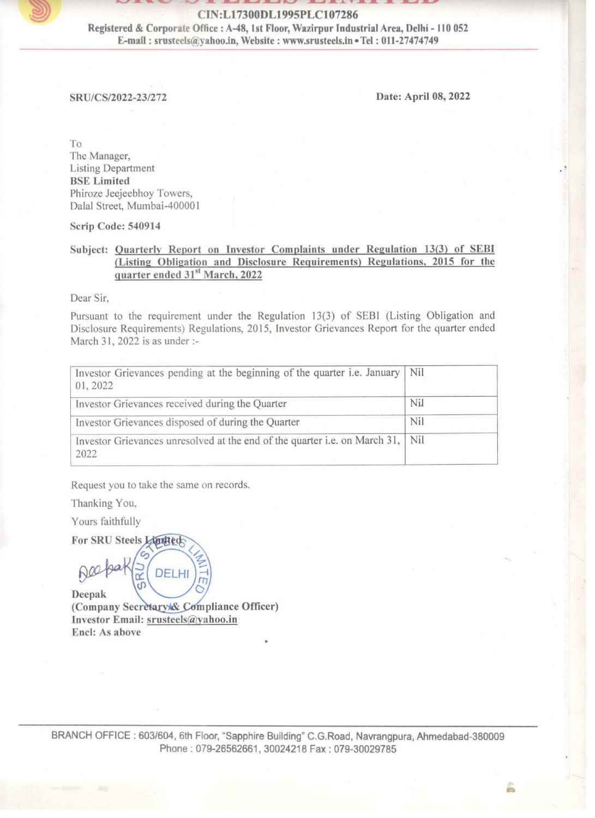J EN ES SIE BAK BAK CEST BAK LEE BAK CEST

To The Manager, Listing Department BSE Limited Phiroze Jeejeebhoy Towers, Dalal Street, Mumbai-400001 CIN:L17300DL1<br>
Registered & Corporate Office : A-48, 1st Floor<br>
E-mail : srusteels@yahoo.in, Website :<br>
E-mail : srusteels@yahoo.in, Website :<br>
SRU/CS/2022-23/272<br>
SRU/CS/2022-23/272<br>
To<br>
The Manager,<br>
Listing Department<br> CIN:L17300DL1<br>
Registered & Corporate Office : A-48, 1st Floomerical : srusteels@yahoo.in, Website :<br>
E-mail : srusteels@yahoo.in, Website :<br>
SRU/CS/2022-23/272<br>
SRU/CS/2022-23/272<br>
To<br>
The Manager,<br>
Listing Department<br>
BS

| CIN:L17300DL1995PLC107286<br>Registered & Corporate Office : A-48, 1st Floor, Wazirpur Industrial Area, Delhi - 110 052<br>E-mail: srusteels@yahoo.in, Website: www.srusteels.in . Tel: 011-27474749                    |                      |  |
|-------------------------------------------------------------------------------------------------------------------------------------------------------------------------------------------------------------------------|----------------------|--|
| SRU/CS/2022-23/272                                                                                                                                                                                                      | Date: April 08, 2022 |  |
|                                                                                                                                                                                                                         |                      |  |
| To<br>The Manager,<br><b>Listing Department</b><br><b>BSE</b> Limited<br>Phiroze Jeejeebhoy Towers,<br>Dalal Street, Mumbai-400001                                                                                      |                      |  |
| Scrip Code: 540914<br>Subject: Quarterly Report on Investor Complaints under Regulation 13(3) of SEBI<br>(Listing Obligation and Disclosure Requirements) Regulations, 2015 for the                                     |                      |  |
| quarter ended 31 <sup>st</sup> March, 2022<br>Dear Sir,                                                                                                                                                                 |                      |  |
| Pursuant to the requirement under the Regulation 13(3) of SEBI (Listing Obligation and<br>Disclosure Requirements) Regulations, 2015, Investor Grievances Report for the quarter ended<br>March 31, 2022 is as under :- |                      |  |
| Investor Grievances pending at the beginning of the quarter i.e. January<br>01, 2022                                                                                                                                    | Nil                  |  |
| Investor Grievances received during the Quarter                                                                                                                                                                         | Nil                  |  |
|                                                                                                                                                                                                                         | Nil                  |  |
| Investor Grievances disposed of during the Quarter                                                                                                                                                                      |                      |  |
| Investor Grievances unresolved at the end of the quarter i.e. on March 31,<br>2022                                                                                                                                      | Nil                  |  |
|                                                                                                                                                                                                                         |                      |  |
| Request you to take the same on records.<br>Thanking You,                                                                                                                                                               |                      |  |
| Yours faithfully                                                                                                                                                                                                        |                      |  |
| For SRU Steels Limited<br>DELHI                                                                                                                                                                                         |                      |  |
| Deepak<br>(Company Secretary & Compliance Officer)                                                                                                                                                                      |                      |  |
| Investor Email: srusteels@yahoo.in<br>Encl: As above                                                                                                                                                                    |                      |  |
|                                                                                                                                                                                                                         |                      |  |
|                                                                                                                                                                                                                         |                      |  |

Investor Email: sruste<br>Encl: As above<br>NCH OFFICE : 603/604<br>Pho Investor Email: srusteels@yahoo.in Encl: As above

Phone : 079-26562661, 30024218 Fax : 079-30029785